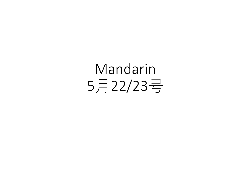# Mandarin 5月22/23号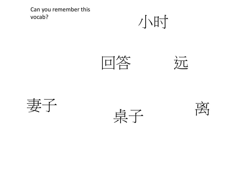Can you remember this vocab?











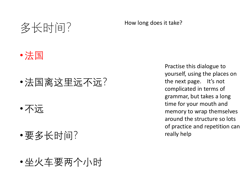### 多长时间?

#### How long does it take?



- •法国离这里远不远?
- •不远
- •要多长时间?
- •坐火车要两个小时

Practise this dialogue to yourself, using the places on the next page. It's not complicated in terms of grammar, but takes a long time for your mouth and memory to wrap themselves around the structure so lots of practice and repetition can really help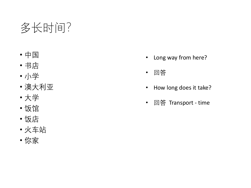## 多长时间?

- 中国
- 书店
- 小学
- 澳大利亚
- 大学
- 饭馆
- 饭店
- 火车站
- 你家
- Long way from here?
- 回答
- How long does it take?
- 回答 Transport time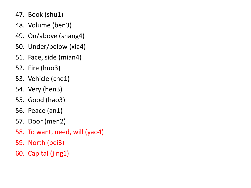- 47. Book (shu1)
- 48. Volume (ben3)
- 49. On/above (shang4)
- 50. Under/below (xia4)
- 51. Face, side (mian4)
- 52. Fire (huo3)
- 53. Vehicle (che1)
- 54. Very (hen3)
- 55. Good (hao3)
- 56. Peace (an1)
- 57. Door (men2)
- 58. To want, need, will (yao4)
- 59. North (bei3)
- 60. Capital (jing1)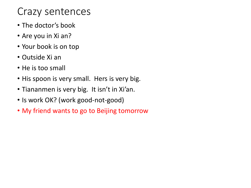#### Crazy sentences

- The doctor's book
- Are you in Xi an?
- Your book is on top
- Outside Xi an
- He is too small
- His spoon is very small. Hers is very big.
- Tiananmen is very big. It isn't in Xi'an.
- Is work OK? (work good-not-good)
- My friend wants to go to Beijing tomorrow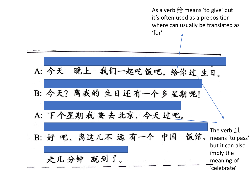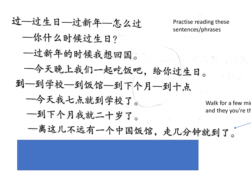过一过生日-过新年-怎么过 Practise reading these sentences/phrases 一你什么时候过生日? 一过新年的时候我想回国。 一今天晚上我们一起吃饭吧,给你过生日。 到一到学校一到饭馆一到下个月一到十点 一今天我七点就到学校了。 Walk for a few minute and they you're the 一到下个月我就二十岁了。 一离这儿不远有一个中国饭馆,走几分钟就到了。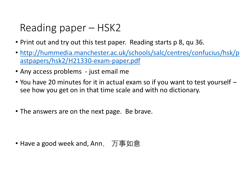#### Reading paper – HSK2

- Print out and try out this test paper. Reading starts p 8, qu 36.
- [http://hummedia.manchester.ac.uk/schools/salc/centres/confucius/hsk/p](http://hummedia.manchester.ac.uk/schools/salc/centres/confucius/hsk/pastpapers/hsk2/H21330-exam-paper.pdf) astpapers/hsk2/H21330-exam-paper.pdf
- Any access problems just email me
- You have 20 minutes for it in actual exam so if you want to test yourself see how you get on in that time scale and with no dictionary.
- The answers are on the next page. Be brave.

• Have a good week and, Ann, 万事如意